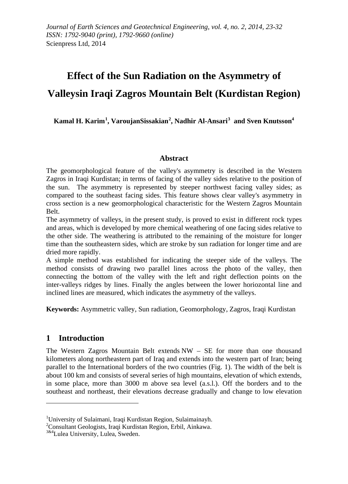# **Effect of the Sun Radiation on the Asymmetry of Valleysin Iraqi Zagros Mountain Belt (Kurdistan Region)**

**Kamal H. Karim[1](#page-0-0) , VaroujanSissakian[2](#page-0-1) , Nadhir Al-Ansari[3](#page-0-2) and Sven Knutsson<sup>4</sup>**

### **Abstract**

The geomorphological feature of the valley's asymmetry is described in the Western Zagros in Iraqi Kurdistan; in terms of facing of the valley sides relative to the position of the sun. The asymmetry is represented by steeper northwest facing valley sides; as compared to the southeast facing sides. This feature shows clear valley's asymmetry in cross section is a new geomorphological characteristic for the Western Zagros Mountain Belt.

The asymmetry of valleys, in the present study, is proved to exist in different rock types and areas, which is developed by more chemical weathering of one facing sides relative to the other side. The weathering is attributed to the remaining of the moisture for longer time than the southeastern sides, which are stroke by sun radiation for longer time and are dried more rapidly.

A simple method was established for indicating the steeper side of the valleys. The method consists of drawing two parallel lines across the photo of the valley, then connecting the bottom of the valley with the left and right deflection points on the inter-valleys ridges by lines. Finally the angles between the lower horiozontal line and inclined lines are measured, which indicates the asymmetry of the valleys.

**Keywords:** Asymmetric valley, Sun radiation, Geomorphology, Zagros, Iraqi Kurdistan

# **1 Introduction**

 $\overline{a}$ 

The Western Zagros Mountain Belt extends NW – SE for more than one thousand kilometers along northeastern part of Iraq and extends into the western part of Iran; being parallel to the International borders of the two countries (Fig. 1). The width of the belt is about 100 km and consists of several series of high mountains, elevation of which extends, in some place, more than 3000 m above sea level (a.s.l.). Off the borders and to the southeast and northeast, their elevations decrease gradually and change to low elevation

<span id="page-0-0"></span><sup>&</sup>lt;sup>1</sup>University of Sulaimani, Iraqi Kurdistan Region, Sulaimainayh.<br><sup>2</sup>Consultant Geologists, Iraqi Kurdistan Region, Erbil, Ainkawa.

<span id="page-0-2"></span><span id="page-0-1"></span><sup>&</sup>lt;sup>2</sup>Consultant Geologists, Iraqi Kurdistan Region, Erbil, Ainkawa.<br><sup>3&4</sup>Lulea University, Lulea, Sweden.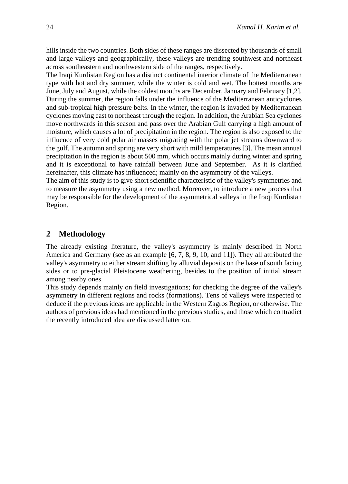hills inside the two countries. Both sides of these ranges are dissected by thousands of small and large valleys and geographically, these valleys are trending southwest and northeast across southeastern and northwestern side of the ranges, respectively.

The Iraqi Kurdistan Region has a distinct continental interior climate of the Mediterranean type with hot and dry summer, while the winter is cold and wet. The hottest months are June, July and August, while the coldest months are December, January and February [1,2]. During the summer, the region falls under the influence of the Mediterranean anticyclones and sub-tropical high pressure belts. In the winter, the region is invaded by Mediterranean cyclones moving east to northeast through the region. In addition, the Arabian Sea cyclones move northwards in this season and pass over the Arabian Gulf carrying a high amount of moisture, which causes a lot of precipitation in the region. The region is also exposed to the influence of very cold polar air masses migrating with the polar jet streams downward to the gulf. The autumn and spring are very short with mild temperatures [3]. The mean annual precipitation in the region is about 500 mm, which occurs mainly during winter and spring and it is exceptional to have rainfall between June and September. As it is clarified hereinafter, this climate has influenced; mainly on the asymmetry of the valleys.

The aim of this study is to give short scientific characteristic of the valley's symmetries and to measure the asymmetry using a new method. Moreover, to introduce a new process that may be responsible for the development of the asymmetrical valleys in the Iraqi Kurdistan Region.

### **2 Methodology**

The already existing literature, the valley's asymmetry is mainly described in North America and Germany (see as an example [6, 7, 8, 9, 10, and 11]). They all attributed the valley's asymmetry to either stream shifting by alluvial deposits on the base of south facing sides or to pre-glacial Pleistocene weathering, besides to the position of initial stream among nearby ones.

This study depends mainly on field investigations; for checking the degree of the valley's asymmetry in different regions and rocks (formations). Tens of valleys were inspected to deduce if the previous ideas are applicable in the Western Zagros Region, or otherwise. The authors of previous ideas had mentioned in the previous studies, and those which contradict the recently introduced idea are discussed latter on.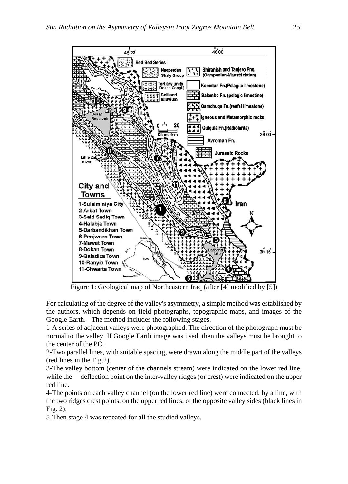

Figure 1: Geological map of Northeastern Iraq (after [4] modified by [5])

For calculating of the degree of the valley's asymmetry, a simple method was established by the authors, which depends on field photographs, topographic maps, and images of the Google Earth. The method includes the following stages.

1-A series of adjacent valleys were photographed. The direction of the photograph must be normal to the valley. If Google Earth image was used, then the valleys must be brought to the center of the PC.

2-Two parallel lines, with suitable spacing, were drawn along the middle part of the valleys (red lines in the Fig.2).

3-The valley bottom (center of the channels stream) were indicated on the lower red line, while the deflection point on the inter-valley ridges (or crest) were indicated on the upper red line.

4-The points on each valley channel (on the lower red line) were connected, by a line, with the two ridges crest points, on the upper red lines, of the opposite valley sides (black lines in Fig. 2).

5-Then stage 4 was repeated for all the studied valleys.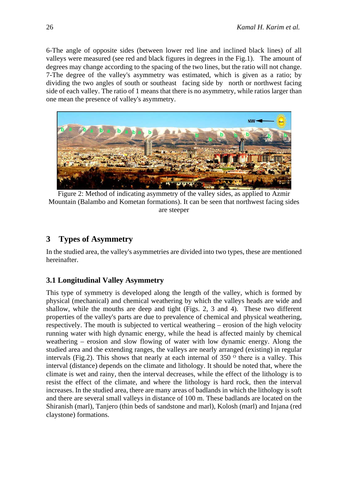6-The angle of opposite sides (between lower red line and inclined black lines) of all valleys were measured (see red and black figures in degrees in the Fig.1). The amount of degrees may change according to the spacing of the two lines, but the ratio will not change. 7-The degree of the valley's asymmetry was estimated, which is given as a ratio; by dividing the two angles of south or southeast facing side by north or northwest facing side of each valley. The ratio of 1 means that there is no asymmetry, while ratios larger than one mean the presence of valley's asymmetry.



Figure 2: Method of indicating asymmetry of the valley sides, as applied to Azmir Mountain (Balambo and Kometan formations). It can be seen that northwest facing sides are steeper

# **3 Types of Asymmetry**

In the studied area, the valley's asymmetries are divided into two types, these are mentioned hereinafter.

# **3.1 Longitudinal Valley Asymmetry**

This type of symmetry is developed along the length of the valley, which is formed by physical (mechanical) and chemical weathering by which the valleys heads are wide and shallow, while the mouths are deep and tight (Figs. 2, 3 and 4). These two different properties of the valley's parts are due to prevalence of chemical and physical weathering, respectively. The mouth is subjected to vertical weathering – erosion of the high velocity running water with high dynamic energy, while the head is affected mainly by chemical weathering – erosion and slow flowing of water with low dynamic energy. Along the studied area and the extending ranges, the valleys are nearly arranged (existing) in regular intervals (Fig.2). This shows that nearly at each internal of 350  $\degree$  there is a valley. This interval (distance) depends on the climate and lithology. It should be noted that, where the climate is wet and rainy, then the interval decreases, while the effect of the lithology is to resist the effect of the climate, and where the lithology is hard rock, then the interval increases. In the studied area, there are many areas of badlands in which the lithology is soft and there are several small valleys in distance of 100 m. These badlands are located on the Shiranish (marl), Tanjero (thin beds of sandstone and marl), Kolosh (marl) and Injana (red claystone) formations.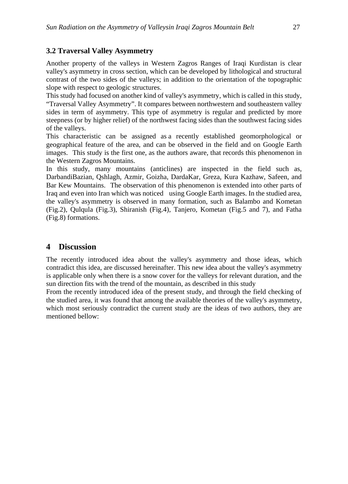# **3.2 Traversal Valley Asymmetry**

Another property of the valleys in Western Zagros Ranges of Iraqi Kurdistan is clear valley's asymmetry in cross section, which can be developed by lithological and structural contrast of the two sides of the valleys; in addition to the orientation of the topographic slope with respect to geologic structures.

This study had focused on another kind of valley's asymmetry, which is called in this study, "Traversal Valley Asymmetry". It compares between northwestern and southeastern valley sides in term of asymmetry. This type of asymmetry is regular and predicted by more steepness (or by higher relief) of the northwest facing sides than the southwest facing sides of the valleys.

This characteristic can be assigned as a recently established geomorphological or geographical feature of the area, and can be observed in the field and on Google Earth images. This study is the first one, as the authors aware, that records this phenomenon in the Western Zagros Mountains.

In this study, many mountains (anticlines) are inspected in the field such as, DarbandiBazian, Qshlagh, Azmir, Goizha, DardaKar, Greza, Kura Kazhaw, Safeen, and Bar Kew Mountains. The observation of this phenomenon is extended into other parts of Iraq and even into Iran which was noticed using Google Earth images. In the studied area, the valley's asymmetry is observed in many formation, such as Balambo and Kometan (Fig.2), Qulqula (Fig.3), Shiranish (Fig.4), Tanjero, Kometan (Fig.5 and 7), and Fatha (Fig.8) formations.

# **4 Discussion**

The recently introduced idea about the valley's asymmetry and those ideas, which contradict this idea, are discussed hereinafter. This new idea about the valley's asymmetry is applicable only when there is a snow cover for the valleys for relevant duration, and the sun direction fits with the trend of the mountain, as described in this study

From the recently introduced idea of the present study, and through the field checking of the studied area, it was found that among the available theories of the valley's asymmetry, which most seriously contradict the current study are the ideas of two authors, they are mentioned bellow: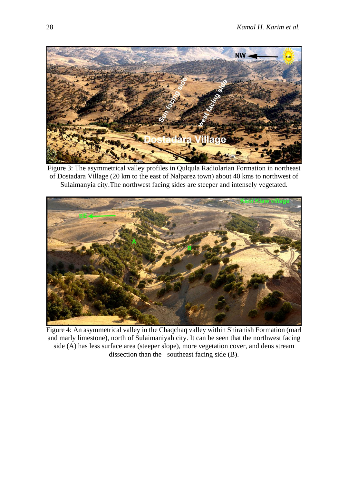

Figure 3: The asymmetrical valley profiles in Qulqula Radiolarian Formation in northeast of Dostadara Village (20 km to the east of Nalparez town) about 40 kms to northwest of Sulaimanyia city.The northwest facing sides are steeper and intensely vegetated.



Figure 4: An asymmetrical valley in the Chaqchaq valley within Shiranish Formation (marl and marly limestone), north of Sulaimaniyah city. It can be seen that the northwest facing side (A) has less surface area (steeper slope), more vegetation cover, and dens stream dissection than the southeast facing side (B).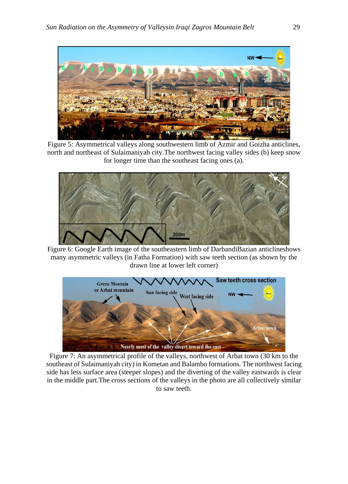

Figure 5: Asymmetrical valleys along southwestern limb of Azmir and Goizha anticlines, north and northeast of Sulaimaniyah city.The northwest facing valley sides (b) keep snow for longer time than the southeast facing ones (a).



Figure 6: Google Earth image of the southeastern limb of DarbandiBazian anticlineshows many asymmetric valleys (in Fatha Formation) with saw teeth section (as shown by the drawn line at lower left corner)



Figure 7: An asymmetrical profile of the valleys, northwest of Arbat town (30 km to the southeast of Sulaimaniyah city) in Kometan and Balambo formations. The northwest facing side has less surface area (steeper slopes) and the diverting of the valley eastwards is clear in the middle part.The cross sections of the valleys in the photo are all collectively similar to saw teeth.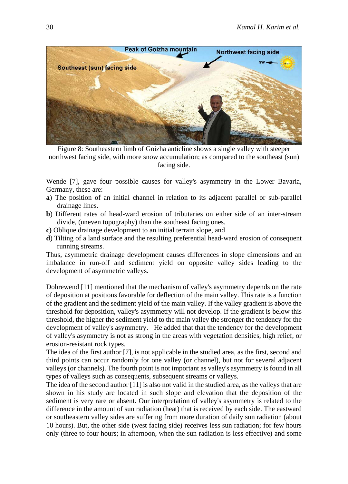

Figure 8: Southeastern limb of Goizha anticline shows a single valley with steeper northwest facing side, with more snow accumulation; as compared to the southeast (sun) facing side.

Wende [7], gave four possible causes for valley's asymmetry in the Lower Bavaria, Germany, these are:

- **a**) The position of an initial channel in relation to its adjacent parallel or sub-parallel drainage lines.
- **b**) Different rates of head-ward erosion of tributaries on either side of an inter-stream divide, (uneven topography) than the southeast facing ones.
- **c)** Oblique drainage development to an initial terrain slope, and
- **d**) Tilting of a land surface and the resulting preferential head-ward erosion of consequent running streams.

Thus, asymmetric drainage development causes differences in slope dimensions and an imbalance in run-off and sediment yield on opposite valley sides leading to the development of asymmetric valleys.

Dohrewend [11] mentioned that the mechanism of valley's asymmetry depends on the rate of deposition at positions favorable for deflection of the main valley. This rate is a function of the gradient and the sediment yield of the main valley. If the valley gradient is above the threshold for deposition, valley's asymmetry will not develop. If the gradient is below this threshold, the higher the sediment yield to the main valley the stronger the tendency for the development of valley's asymmetry. He added that that the tendency for the development of valley's asymmetry is not as strong in the areas with vegetation densities, high relief, or erosion-resistant rock types.

The idea of the first author [7], is not applicable in the studied area, as the first, second and third points can occur randomly for one valley (or channel), but not for several adjacent valleys (or channels). The fourth point is not important as valley's asymmetry is found in all types of valleys such as consequents, subsequent streams or valleys.

The idea of the second author [11] is also not valid in the studied area, as the valleys that are shown in his study are located in such slope and elevation that the deposition of the sediment is very rare or absent. Our interpretation of valley's asymmetry is related to the difference in the amount of sun radiation (heat) that is received by each side. The eastward or southeastern valley sides are suffering from more duration of daily sun radiation (about 10 hours). But, the other side (west facing side) receives less sun radiation; for few hours only (three to four hours; in afternoon, when the sun radiation is less effective) and some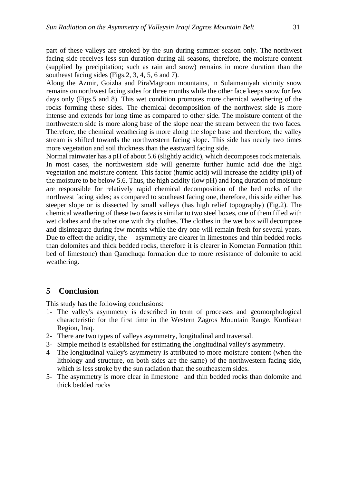part of these valleys are stroked by the sun during summer season only. The northwest facing side receives less sun duration during all seasons, therefore, the moisture content (supplied by precipitation; such as rain and snow) remains in more duration than the southeast facing sides (Figs.2, 3, 4, 5, 6 and 7).

Along the Azmir, Goizha and PiraMagroon mountains, in Sulaimaniyah vicinity snow remains on northwest facing sides for three months while the other face keeps snow for few days only (Figs.5 and 8). This wet condition promotes more chemical weathering of the rocks forming these sides. The chemical decomposition of the northwest side is more intense and extends for long time as compared to other side. The moisture content of the northwestern side is more along base of the slope near the stream between the two faces. Therefore, the chemical weathering is more along the slope base and therefore, the valley stream is shifted towards the northwestern facing slope. This side has nearly two times more vegetation and soil thickness than the eastward facing side.

Normal rainwater has a pH of about 5.6 (slightly acidic), which decomposes rock materials. In most cases, the northwestern side will generate further humic acid due the high vegetation and moisture content. This factor (humic acid) will increase the acidity (pH) of the moisture to be below 5.6. Thus, the high acidity (low pH) and long duration of moisture are responsible for relatively rapid chemical decomposition of the bed rocks of the northwest facing sides; as compared to southeast facing one, therefore, this side either has steeper slope or is dissected by small valleys (has high relief topography) (Fig.2). The chemical weathering of these two faces is similar to two steel boxes, one of them filled with wet clothes and the other one with dry clothes. The clothes in the wet box will decompose and disintegrate during few months while the dry one will remain fresh for several years. Due to effect the acidity, the asymmetry are clearer in limestones and thin bedded rocks than dolomites and thick bedded rocks, therefore it is clearer in Kometan Formation (thin bed of limestone) than Qamchuqa formation due to more resistance of dolomite to acid weathering.

#### **5 Conclusion**

This study has the following conclusions:

- 1- The valley's asymmetry is described in term of processes and geomorphological characteristic for the first time in the Western Zagros Mountain Range, Kurdistan Region, Iraq.
- 2- There are two types of valleys asymmetry, longitudinal and traversal.
- 3- Simple method is established for estimating the longitudinal valley's asymmetry.
- 4- The longitudinal valley's asymmetry is attributed to more moisture content (when the lithology and structure, on both sides are the same) of the northwestern facing side, which is less stroke by the sun radiation than the southeastern sides.
- 5- The asymmetry is more clear in limestone and thin bedded rocks than dolomite and thick bedded rocks